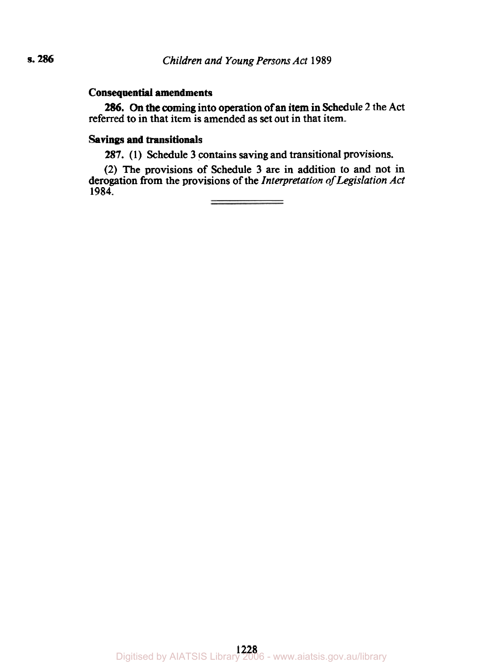# **Consequential amendments**

referred to in that item is amended **as** set out in that item. **286.** On the coming into operation of an item in Schedule 2 the Act

# **Savings and transitionals**

**287. (1)** Schedule **3** contains saving and transitional provisions.

(2) The provisions of Schedule 3 are in addition to and not in derogation from the provisions of the *Interpretation* of *Legislation Act*  **1984.**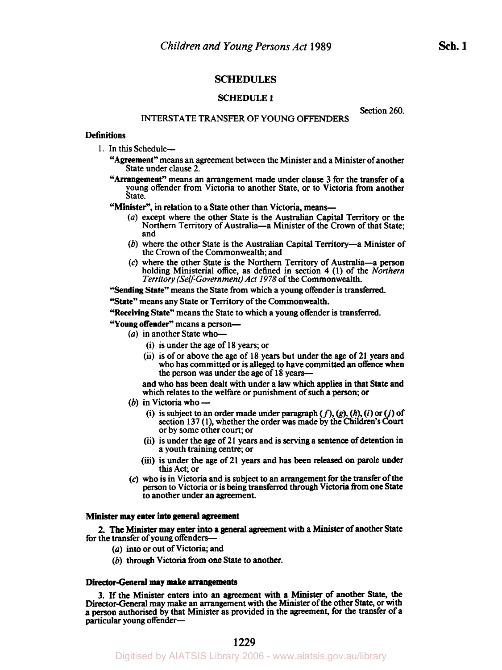## **SCHEDULES**

## **SCHEDULE** 1

Section 260.

## INTERSTATE TRANSFER OF YOUNG **OFFENDERS**

## **Definitions**

- 1. In this Schedule-
	- "Agreement" means an agreement between the Minister and a Minister of another State under clause 2.
	- "Arrangement" means an arrangement made under clause 3 for the transfer of a young offender from Victoria to another State, or to Victoria from another State.
	- "Minister", in relation to a State other than Victoria, means-
		- *(a)* except where the other State **is** the Australian Capital Territory or the Northern Territory of Australia-a Minister of the Crown of that State; and
		- (b) where the other State is the Australian Capital Territory-a Minister of the Crown of the Commonwealth; and
		- **(c)** where the other State is the Northern Territory of Australia-a person holding Ministerial office, as defined in section **4** (1) of the *Northern Territory (Self-Government) Act 1978* of the Commonwealth.

'Sending State" means the State from which a young offender is transferred.

"State" means any State or Territory of the Commonwealth.

"Receiving State" means the State to which a young offender is transferred.

- **"Young** offender" means a person-
	- (*a*) in another State who-
		- (i) is under the age of **18** years; or
		- (ii) is of or above the age of **18** years but under the age of 21 years and who has committed or is **alleged** to have committed an offence when the person was under the age of 18 **years-**

and who has been dealt with under a law which applies in that State and and who has been dealt with under a law which applies in that is<br>which relates to the welfare or punishment of such a person; or<br>(b) in Victoria who —

- 
- (b) in Victoria who  $\rightarrow$ <br>(i) is subject to an order made under paragraph  $(f)$ ,  $(g)$ ,  $(h)$ ,  $(i)$  or  $(j)$  of section **137** (1), whether the order was made by the Children's *Court*  or by some other court; or
	- (ii) is under the age of 21 years and is **serving** a sentence of detention *in*  a youth training centre; or
	- *(iii)* is under the age of **21** years and **has** been released on parole under **this** Act; or
- **(c)** who is in Victoria and is **subject** to an arrangement for the transfer of the person to Victoria or is being transferred **through** Victoria from one State to another under an agreement.

#### **Minister may** enter **into general** agreement

for the transfer of young offenders-*2.* The Minister may enter into a general agreement with a *Minister* of another State

- *(a)* **into** or out of Victoria, and
- (b) **through** Victoria from one State to another.

#### Director-General **may make** arrangements

3. If the Minister enters into an agreement with a **Minister** of another State, the Director-General may make an. arrangement with the Minister of the other State, or **with**  a person authorised by that Minister **as** provided in the agreement, for the transfer of a particular young offender-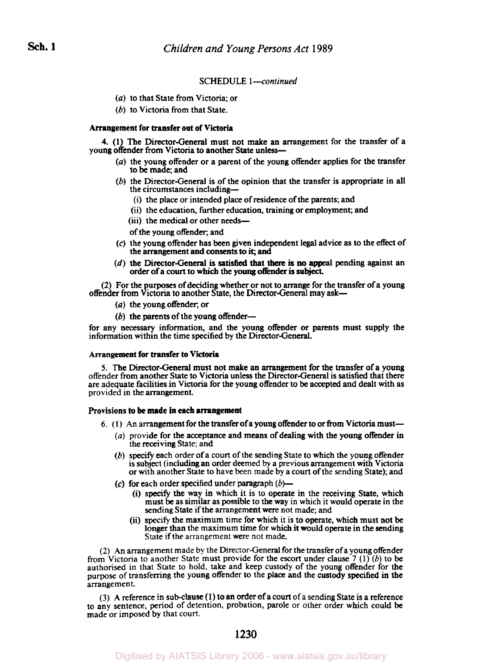#### **SCHEDULE** l-continued

- *(a)* to that State from Victoria; or
- (b) to Victoria from that State.

### Arrangement for transfer out of Victoria

young offender from Victoria to another State **unless-4. (1)** The Director-General must not make an arrangement for the transfer of a

- (a) the young offender or a parent of the young offender applies for the transfer to be made; and
- (b) the Director-General is of the opinion that the transfer is appropriate in all the circumstances including-
	- (i) the place or intended place of residence of the parents; and
	- (ii) the education, further education, training or employment; and
	- (iii) the medical or other needs-

of the young offender; and

- the arrangement and consents to it; and **(c)** the young offender has been given independent legal advice as to the effect of
- order of a court to which the young offender is subject. (d) the Director-General is satisfied that there is no appeal pending against an

(2) For the **purposes** of deciding whether or not to arrange for the transfer of a young offender from Victoria to another State, the Director-General may ask-

- *(a)* the young offender, or
- $(b)$  the parents of the young offender--

for any **necessary** information, and the young offender or parents must supply the information within the time specified by the Director-General.

#### Arrangement for transfer **to Victoria**

*5.* The Director-General must not make **an** arrangement for the transfer of a young offender from another State to Victoria unless the Director-General is satisfied that there are adequate facilities in Victoria for the young offender to be accepted and dealt with as provided in the arrangement.

#### Provisions **to be** made **in each** arrangement

- *6.* ( I ) An arrangement for the transfer of *a* young offender to or from Victoria must-
	- *(a)* provide for the acceptance and means of dealing with the young offender in the receiving State; and
	- (b) **specify** each order of a court of the sending State to which the young offender is subject (including an order deemed by a previous arrangement with Victoria or with another State to have been made by a court of the sending **State);** and
	- **(c)** for each order specified under paragraph *(b)-* 
		- (i) **specify** the way in which it is to operate in the receiving State, which must be as similar as possible to the way in which it would operate in the sending State if the arrangement **were** not made; and
		- (ii) specify the maximum time for which it is to operate, which must not be longer than the maximum time for which it would operate in the sending State if the arrangement were not made.

(2) An arrangement made by the Director-General for the transfer of a young offender from Victoria to another State must provide for the escort under clause 7 (1) (b) to be authorised in that State to hold, take and keep custody of the young offender for the purpose of transferring the young offender to the place and the custody specified in the arrangement.

(3) A reference in sub-clause **(1)** to an Order of a court of a sending State is a reference to any sentence, period of detention, probation, parole or other order which could be made or imposed by that court.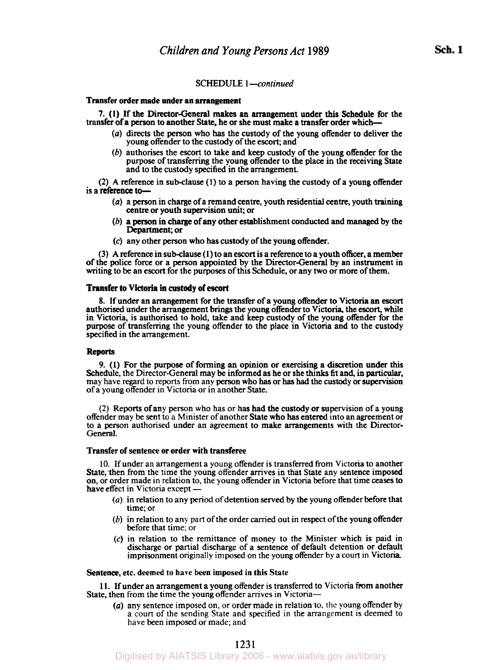## SCHEDULE *I-continued*

#### Transfer order made under **an** arrangement

transfer of a person to another State, he or she must make a transfer order which-**7. (1)** If the Director-General makes an arrangement under **this** Schedule for the

- *(a)* directs the person who **has** the custody of the young offender to deliver the young offender to the custody of the escort; and
- (b) authorises the escort to take and keep custody of the young offender for the purpose of transferring the young offender to the place in the receiving State and to the custody specified in the arrangement.

**(2) A** reference in sub-clause **(1)** to a person having the custody of a young offender is a reference to-

- *(a)* a person in charge of a remand centre, youth residential centre, youth training centre or youth supervision unit; or
- (b) a person in charge of any other establishment conducted and managed by the Department; or
- *(c)* any other person who has custody of the young offender.

(3) A reference in sub-clause **(1)** to an escort is a reference to a youth officer, a member of the police force or a person appointed by the Director-General by an instrument in writing to be an escort for the purposes of this Schedule, or any two or more of them.

#### Transfer **to Victoria** in custody of **escort**

**8.** If under an arrangement for the transfer of a young offender to Victoria **an** *escort*  authorised under the arrangement brings the young offender to Victoria, the **escort,** while in Victoria, is authorised to hold, take and keep custody of the young offender for the purpose of transferring the young offender to the place in Victoria and to the custody specified in the arrangement.

## Reports

9. **(1)** For the purpose of forming **an** opinion or exercising a discretion under **this**  Schedule, the Director-General may be informed as he or she **thinks** fit and, in **particular,**  may have regard to reports from any person who has or has had the **custody** or supervision of a young offender in Victoria or in another State.

(2) Reports of any person who has or has had the custody or supervision of a young offender may be sent to a Minister of another State who **has** entered into an agreement or to a person authorised under an agreement to make arrangements with the Director-General.

## Transfer of sentence or order with transferee

10. If under an arrangement a young offender is transferred from Victoria to another State, then from the time the young offender arrives in that State any sentence imposed<br>on, or order made in relation to, the young offender in Victoria before that time ceases to<br>have effect in Victoria except on, or order made in relation to, the young offender in Victoria before that time ceases to have effect in Victoria except  $-$ 

- *(a)* in relation to any period of detention served by the young offender before that time; or
- (b) in relation to any part of the order carried out in respect of the young offender before that time; or
- *(c)* in relation to the remittance of money to the Minister which is paid in discharge or partial discharge of a sentence of default detention or default imprisonment originally imposed on the young offender by a court in Victoria.

Sentence, etc. deemed to have been **imposed** in this State

State, then from the time the young offender arrives in Victoria-**11.** If under an arrangement a young offender is transferred to Victoria from another

*(a)* any sentence imposed on, or order made in relation to, the young offender by a court of the sending State and specified in the arrangement is deemed to have been imposed or made; and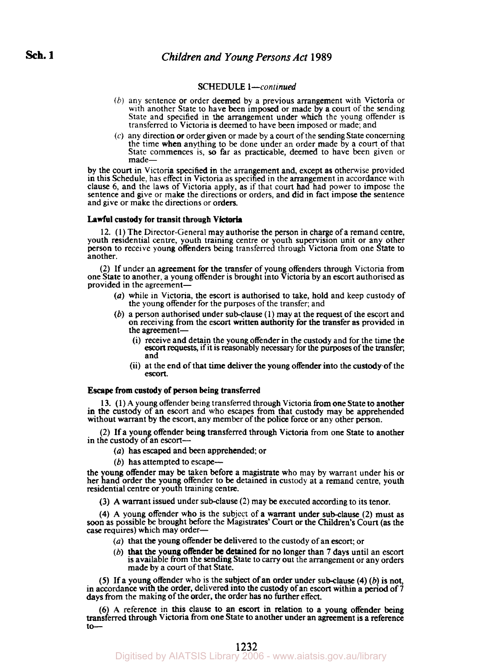## **SCHEDULE** *1-continued*

- (b) any sentence or order deemed by a previous arrangement with Victoria or with another State to have been imposed or made by a court of the sending State and specified in the arrangement under which the young offender i transferred to Victoria is deemed to have been imposed or made; and
- (c) any direction or order given or made by a **court** of the sending State concerning the time when anything to be done under an order made by a court of that State commences is, so far as practicable, deemed to have been given or made—

by the court in Victoria specified in the arrangement and, except **as** otherwise provided in this Schedule, has effect in Victoria as specified in the arrangement in accordance with clause 6, and the laws of Victoria apply, as if that court had had power to impose the sentence and give or make the directions or orders, and did in fact impose the sentence and give or make the directions or orders.

### **Lawful custody** for transit through **Victoria**

12. **(1)** The Director-General may authorise the person in charge of a remand centre, youth residential centre, youth training centre or youth supervision unit or any other person to receive young offenders being transferred through Victoria from one State to another.

(2) If under an agreement for the transfer of young offenders through Victoria from one State to another, a young offender is brought into Victoria by an escort authorised as provided in the agreement-

- *(a)* while in Victoria, the escort is authorised to take, hold and keep custody of the young offender for the purposes of the transfer; and
- (b) a person authorised under sub-clause **(1)** may at the request of the escort and on receiving from the escort written authority for the transfer as provided in the agreement-
	- (i) receive and detain the young offender in the custody and for the time the escort requests, if it is reasonably necessary for the purposes of the transfer, and
	- (ii) at the end of that time deliver the young offender into the custody of the escort.

## **Escape from custody** of person being **transferred**

**13. (1)** A young offender being transferred through Victoria from one State to another in the custody of **an** escort and who escapes from that custody may be apprehended without warrant by the escort, any member of the police force or any other person.

(2) If a young offender being transferred through Victoria from one State to another in the custody of an escort-

- (a) has escaped and been apprehended; or
- $(b)$  has attempted to escape—

the young offender may be taken before a magistrate who may by warrant under his or her hand order the young offender to be detained in custody at a remand centre, youth residential centre or youth training centre.

(3) **A** warrant issued under sub-clause (2) may be executed according to its tenor.

**(4) A** young offender who is the subject of a warrant under sub-clause (2) must as soon as possible be brought before the Magistrates' Court or the Children's Court (as the *case* requires) which may order-

- *(a)* that the young offender be delivered to the custody of an escort; or
- (b) that the young offender be detained for no longer than  $7$  days until an escort is available from the sending State to *carry* out the arrangement or any orders made by a court of that State.

*(5)* If a young offender who is the subject of an order under sub-clause **(4)** (b) is not, in accordance with the order, delivered into the custody of an escort within a period of **7**  days from the making of the order, the order has no further effect.

(6 **A** reference in this clause to an escort in relation to a young offender being transferred through Victoria from one State to another under an agreement is a reference **to-**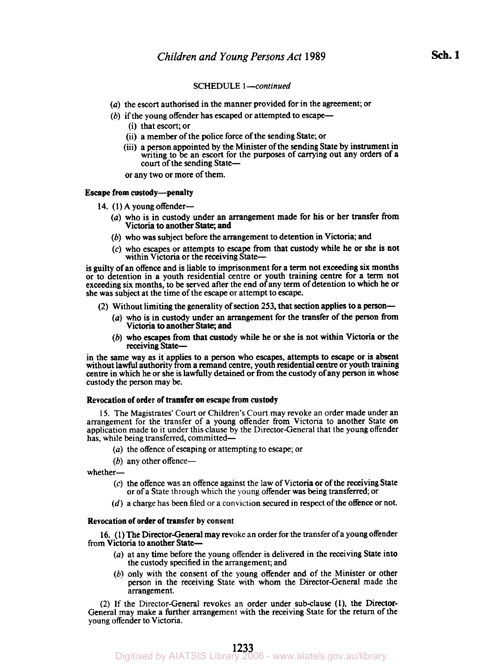## SCHEDULE 1-continued

- *(a)* the escort authorised in the manner provided for in the agreement; or
- $(b)$  if the young offender has escaped or attempted to escape-
	- (i) that escort; or
	- (ii) a member of the police force of the sending State; or
	- (iii) a person appointed by the Minister of the sending State by instrument in writing to be an escort for the purposes of carrying out any orders of a court of the sending State-

or any two or more of them.

#### Escape from custody-penalty

- 14. (1) **A** young offender-
	- *(a)* who is in custody under an arrangement made for his or her transfer from Victoria to another State; and
	- (b) who was subject before the arrangement to detention in Victoria; and
	- **(c)** who escapes or attempts to escape from that custody while he or she is not within Victoria or the receiving State-

is guilty of an offence and is liable to imprisonment for a term not exceeding **six** months or to detention in a youth residential centre or youth training centre for a term not exceeding six months, to be served after the end of any term of detention to which he or she was subject at the time of the escape or attempt to escape.

- (2) Without limiting the generality of section **253,** that section applies to a person-
	- *(a)* who is in custody under an arrangement for the transfer of the person from Victoria to another State; and
	- (b) who escapes from that custody while he or she is not within Victoria **or** the receiving State-

in the same way as it applies to a person who **escapes,** attempts to escape or is absent without lawful authority from a remand centre, youth residential centre or youth training centre in which he or she is lawfully detained or from the custody of any person in whose custody the person may be.

## Revocation of order of transfer on **escape** from custody

15. The Magistrates' Court or Children's Court may revoke an order made under an arrangement for the transfer of a young offender from Victoria to another State on application made to it under this clause by the Director-G has, while being transferred, committed-

- *(a)* the offence of escaping or attempting to escape; or
- (b) any other offence--

whether-

- **(c)** the offence was an offence against the law of Victoria or of the receiving State or of a State through which the young offender was being transferred, or
- (d) a charge has been filed or **a** conviction secured in respect of the offence or not.

#### Revocation of order of transfer by consent

from Victoria to another State-**16.** (1) The Director-General may revoke an order for the transfer of a young offender

- *(a)* at any time before the young offender is delivered in the receiving State into the custody **specified** in the arrangement; and
- (b) only with the consent of the young offender and of the Minister or other person in the receiving State with whom the Director-General made the arrangement.

(2) If the Director-General revokes an order under sub-clause (I), the Director-General may make a further arrangement with the receiving State for the return of the young offender to Victoria.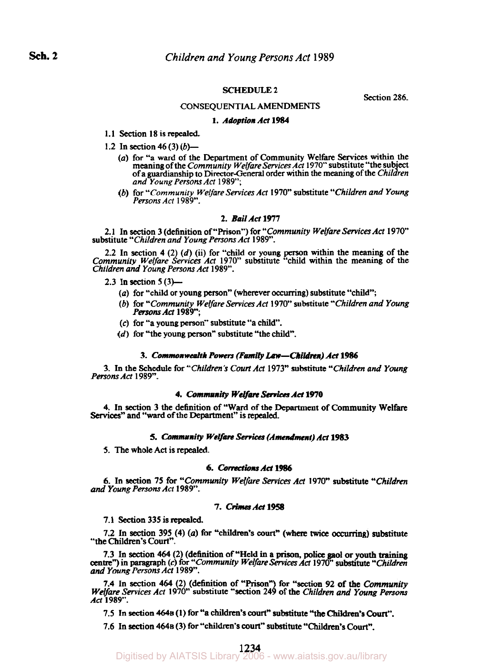## **SCHEDULE 2**

CONSEQUENTIAL AMENDMENTS

Section 286.

#### **1.** *Adoption Act* **1984**

- 1.1 Section 18 is repealed.
- 1.2 In section *46* (3) *(b)-* 
	- *(a)* **for "a** ward **of** the Department **of** Community Welfare **Services** within the meaning **of** the *Community Welfare Services Act* 1970" substitute "the **subject of a** guardianship to Director-General order within the meaning **of** the *Children and Young Persons Act* 1989";
	- *(b)* **for** *"Community Welfare Services Act* 1970" substitute *"Children and Young Persons Act* 1989".

### **2.** Bail Act 1977

2.1 In section 3 (definition **of** "Prison") **for** *"Community Welfare Services Act* 1970" substitute *"Children and Young Persons Act* 1989".

2.2 In section **4** (2 *(d)* (ii) **for** "child or young person within the meaning **of** the *Community Welfare Services Act* 1970" substitute "child within the meaning **of** the *Children and Young Persons Act* 1989".

2.3 In section *5* (3)-

- *(a)* **for** "child **or** young person" (wherever occurring) substitute "child",
- *(b)* **for** *"Community Welfare Services Act* 1970" substitute *"Children and Young Persons Act* 1989";
- *(c)* **for "a** young person" substitute **"a** child".
- *(d)* **for** "the young person" substitute "the child".

#### **3.** *Commonwealth Powers (Family Law-Children) Ad* **1986**

3. In the Schedule **for** *"Children's Court Act* 1973" substitute *"Children and Young Persons Act* 1989".

#### **4.** *Community Welfare Services Ad* 1970

**4.** In section 3 the definition **of "Ward of** the Department **of** Community Welfare *Services"* and "ward **of** the Department" is repealed.

#### *5. Community Welfare Services (Amendment) Ad* **1983**

*5.* The whole **Act** is repealed.

## *6. Corrections Act 1986*

6. In section **75 for** *"Community Welfare Services Act* 1970" substitute *"Children and Young Persons Act* 1989".

### *7. Crimes Act 1958*

**7.1** Section 335 **is repealed.** 

7.2 In section 395 **(4)** *(a)* **for** "children's **court"** (where **twice occurring)** substitute "the Children's **Court".** 

7.3 In section 464 (2) (definition of "Held in a prison, police gaol or youth training centre") in paragraph (c) for "Community Welfare Services Act 1970" substitute "Children" *and Young Persons Act* 1989".

**7.4** In section **464** (2) (definition of "Prison" for **"section** *92* of the *Community Welfare Services Act* 1970" substitute "section **24** ) **of** the *Children and Young Persons Act* 1989".

7.5 In **section 464B (1) for "a** children's **court"** substitute **"the Children's** *court".* 

7.6 In section **464B** (3) for "children's **court"** substitute **"Children's Court".**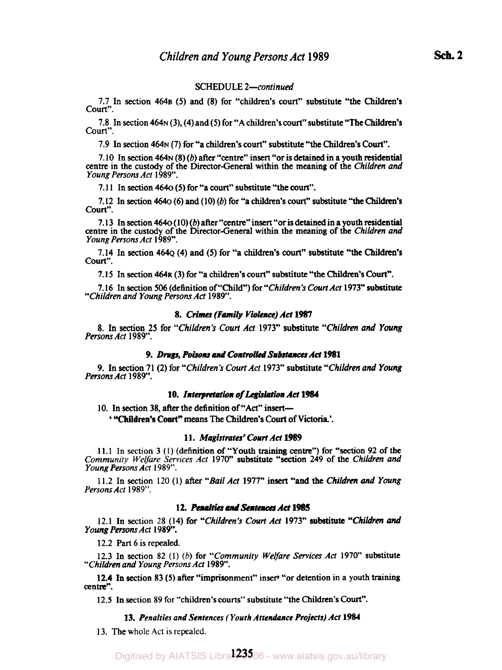## SCHEDULE *2-continued*

**7.7** In section **464B** *(5)* and **(8)** for "children's court" substitute "the Children's Court".

**7.8** In section **464N (3), (4)** and **(5)** for **"A** children's **court"** substitute "The Children's Court".

**7.9** In section **464N (7)** for "a children's court" substitute "the Children's *Court".* 

**7.10** In section **464N (8)** (b) after "centre" insert **"or** is detained in a youth residential centre in the custody **of** the Director-General within the meaning **of** the *Children and Young Persons Act* **1989".** 

**7.1 1** In section **464O (5)** for "a court" substitute "the court".

**7.12** In section **464O (6)** and **(10)** (b) for "a children's **court"** substitute "the **Children's**  Court".

**7.13** In section **464O** ( **10)** (b) after "centre" insert "or is detained in a youth residential centre in the custody of the Director-General within the meaning **of** the *Children and Young Persons Act* **1989".** 

**7.14** In section **464Q (4)** and **(5)** for "a children's court" substitute "the **Children's**  Court".

**7.15** In section **464R (3)** for "a children's court" substitute "the Children's *court".* 

**7.16** In section **506** (definition of "Child") for *"Children's Court Act* **1973"** substitute *"Children and Young Persons Act* **1989".** 

## **8.** *Crimes (Family Violence) Act 1987*

*8.* In section *25* for *"Children's Court Act* **1973"** substitute *"Children and Young Persons Act* **1989".** 

#### *9. Drugs, Poisons and Controlled Substances Ad* **1981**

**9.** In section **71** *(2)* for *"Children's Court Act* **1973"** substitute *"Children and Young Persons Act* **1989".** 

## 10. Interpretation of Legislation Act 1984

**10.** In section **38,** after the definition **of "Act"** insert-

' **"Children's** *Court"* means The Children's *court* **of Victoria.'.** 

#### **11.** *Magistrates' Court Act* **1989**

**11.1** In section **3 (1)** (definition **of** "Youth training centre") for "section 92 of the *Community Welfare Services Act* **1970"** substitute "section **249** of the *Children and Young Persons Act* **1989".** 

**11.2** In section 120 **(1) after** *"Bail Act* **1977" insert** "and the *Children and Young Persons Act* **1989".** 

## 12. Penalties and Sentences Act 1985

**12.1** In section **28 (14)** for *"Children's Court Act* **1973" substitute** *"Children and Young Persons Act* **1989".** 

**12.2 Part 6 is** repealed.

**12.3** In section **82 (1)** (b) **for** *"Community Welfare Services Act* **1970"** substitute *"Children and Young Persons Act* **1989".** 

**12.4** In section **83 (5)** after "imprisonment" insert "or detention in a youth *training*  centre".

**12.5** In section 89 for "children's courts" substitute "the Children's *court".* 

## 13. Penalties and Sentences (Youth Attendance Projects) Act 1984

**13.** The whole Act is repealed.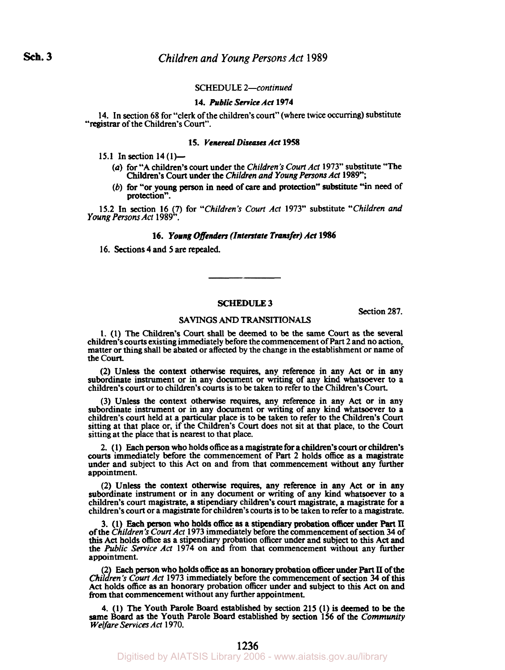## SCHEDULE *2-continued*

## **14.** *Public Service Ad* **1974**

**14.** In section **68** for "clerk of the children's court" (where twice occurring) substitute **"registrar** of the Children's Court".

#### **15.** *Venereal Diseases Ad* **1958**

**15.1** In section **14 (1)-** 

- *(a)* for "A children's court under the *Children's Court Act* **1973"** substitute "The Children's Court under the *Children and Young Persons Act* **1989";**
- (b) for "or young person in need of care and protection" substitute "in need of protection".

**15.2** In section **16 (7)** for *"Children's* **Court** *Act* **1973"** substitute *"Children and Young Persons Act* **1989".** 

## **16.** *Young Offenders (Interstate Transfer) Act* **1986**

**16.** Sections **4** and **5 are** repealed.

#### **SCHEDULE3**

Section *287.* 

#### SAVINGS *AND* **TRANSITIONALS**

**1. (1)** The Children's Court shall be deemed **to** be the same Court **as** the several children's courts existing immediately before the commencement **of** Part *2* and no action, matter or thing shall be abated or affected by the change in the establishment or name of the **Court.** 

*(2)* **Unless** the context otherwise requires, any reference in any Act or in any subordinate instrument or in any document or writing of any kind whatsoever to a children's court or **to** children's courts is **to** be taken **to** refer **to** the Children's Court.

(3) **Unless** the context otherwise **requires,** any reference in any Act or in any subordinate instrument or in any document or writing of any kind whatsoever **to** a children's court held at a particular place **is to** be taken **to** refer to the Children's Court sitting at that place or, if the Children's Court does not sit at that place, **to** the Court sitting at the place that is nearest **to** that place.

**2.** ( **1)** Each person who holds office **as** a magistrate for a children's **court or** children's **courts** immediately **before** the commencement of Part 2 holds office **as** a magistrate under and subject **to this** Act on and from that commencement without any further appointment.

*(2)* Unless the context otherwise requires, any reference in any Act or in any subordinate instrument **or** in any document or writing **of** any kind whatsoever **to** a children's **court** magistrate, a stipendiary children's court magistrate, a magistrate for a children's **court** or a magistrate for children's **courts** is **to** be taken **to** refer **to** a magistrate.

3. (1) Each person who holds office as a stipendiary probation officer under Part II of the Children's Court Act 1973 immediately before the commencement of section 34 of **this** Act holds office **as** a stipendiary probation officer under and subject **to this** Act and the *Public Service Act* **1974** on and **from** that commencement without any further appointment.

(2) Each person who holds office as an honorary probation officer under Part II of the Children's Court Act 1973 immediately before the commencement of section 34 of this Act holds office **as** an honorary probation officer under and subject **to this** Act on and from that commencement without any further appointment.

4. (1) The Youth Parole Board established by section 215 (1) is deemed to be the same Board as the Youth Parole Board established by section 156 of the Community *Welfare Services Act* **1970.**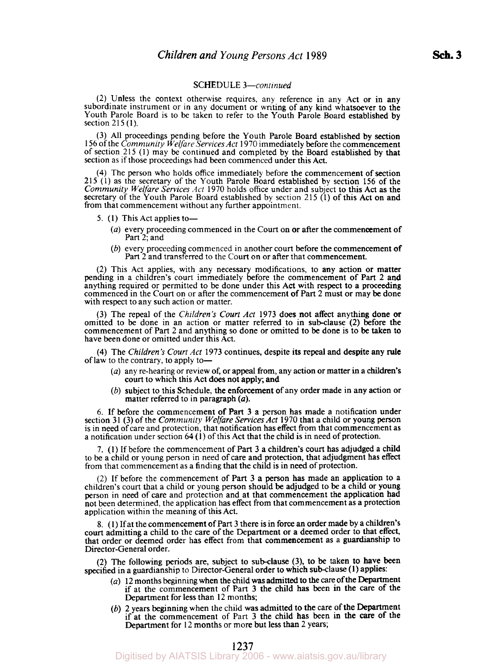### SCHEDULE *3-continued*

(2) Unless the context otherwise requires, any reference in any Act or in any subordinate instrument or in any document or writing of any kind whatsoever to the Youth Parole Board is to be taken to refer to the Youth Parole Board established by section **<sup>215</sup>(1).** 

**(3) All** proceedings pending before the Youth Parole Board established by section 156 of the *Community Welfare Services Act* **1970** immediately before the commencement of section 215 **(1)** may be continued and completed by the Board established by that section as if those proceedings had been commenced under this Act.

**(4)** The person who holds office immediately before the commencement of section 215 (1) as the secretary of the Youth Parole Board established by section 156 of the *Community Welfare Services Act* **1970** holds office under and subject to this Act as the secretary of the Youth Parole Board established by section **215 (1)** of this Act on and from that commencement without any further appointment.

- 5. (1) This Act applies to-
	- *(a)* every proceeding commenced in the Court on or after the commencement of Part 2; and
	- (b) every proceeding commenced in another court before the commencement of Part 2 and transferred to the Court on or after that commencement.

(2) This Act applies, with any necessary modifications, to any action or matter pending in a children's court immediately before the commencement of Part 2 and anything required or permitted to be done under this Act with respect to a proceeding commenced in the Court on or after the commencement of Part 2 must or may be done with respect to any such action or matter.

**(3)** The repeal of the *Children's Court Act* **1973** does not affect anything done **or**  omitted to be done in an action or matter referred to in sub-clause (2) before the commencement of Part 2 and anything so done or omitted to be done is to be taken to have been done or omitted under this Act.

**(4)** The *Children's Court Act* **1973** continues, despite its repeal and despite any rule of law to the contrary, to apply to-

- *(a)* any re-hearing or review **of,** or appeal from, any action or matter in a children's court to which this Act does not apply; and
- (b) subject to this Schedule, the enforcement of any order made in any action or matter referred to in paragraph *(a).*

6. If before the commencement of Part 3 **a** person has made a notification under is in need of care and protection, that notification has effect from that commencement as a notification under section  $64(1)$  of this Act that the child is in need of protection.

**7.** (1) If before the commencement of Part 3 a children's court has adjudged a child to be a child or young person in need of care and protection, that adjudgment has effect from that commencement as a finding that the child is in need of protection.

(2) If before the commencement of Part **3** a person has made an application to a children's court that a child or young person should be adjudged to be a child or young person in need of care and protection and at that commencement the application had not been determined, the application has effect from that commencement as a protection application within the meaning of this Act.

8. **(1)** If at the commencement of Part **3** there is in force an order made by a children's court admitting a child to the care of the Department or a deemed order to that effect, that order or deemed order has effect from that commencement as a guardianship to Director-General order.

(2) The following periods are, subject to sub-clause **(3),** to be taken to have been specified in a guardianship to Director-General order to which sub-clause **(1)** applies:

- *(a)* 12 months beginning when the child was admitted to the care of the Department if at the commencement of Part 3 the child has been in the care of the Department for less than 12 months;
- (b) 2 years beginning when the child was admitted to the care of the Department if at the commencement of Part **3** the child has been in the *care* of the Department for 12 months or more but less than 2 years;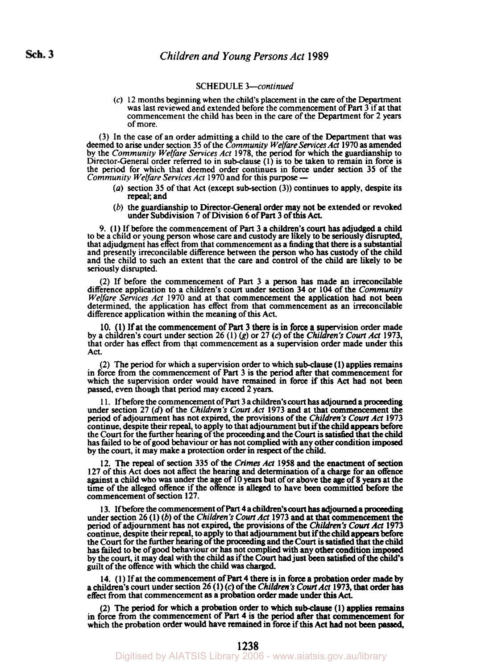## SCHEDULE *3- continued*

(c) 12 months beggining when the child's placement in the *care* of the Department was last reviewed and extended before the commencement of Part 3 if at that commencement the child has been in the *care* of the Department for **2** years of more.

(3) In the *case* of an order admitting a child to the care of the Department that was deemed to **arise** under section *35* of the *Community Welfare Services Act* **1970 as** amended by the *Community Welfare Services Act* **1978,** the period for which the guardianship *to*  Director-General order referred to in sub-clause (1) is to be taken to remain in force is the **period** for which that deemed order continues in force under section *35* of the Director-General order referred to in sub-clause (1) is to be take<br>the period for which that deemed order continues in force un<br>Community Welfare Services Act 1970 and for this purpose —

- *(a)* section **35** of that **Act** (except sub-section **(3))** continues to apply, despite its repeal; and
- (b) the guardianship to Director-General order may not be extended or revoked under Subdivision **7** of Division **6** of Part **3** of this **Act.**

9. (1) If before the commencement of Part **3** a children's **court** has adjudged a child to be a child or young person whose care and custody **are** likely to be seriously disrupted, that adjudgment **has** effect from that commencement **as** a finding that there is a substantial and presently irreconcilable difference between the person who has custody of the child and the child to such an extent that the *care* and control of the child **are** likely **to** be seriously disrupted.

**(2)** If before the commencement of Part 3 a person has made an irreconcilable Welfare Services Act **1970** and at that commencement the application had not been determined, the application has effect from that commencement as an irreconcilable difference application within the meaning of **this Act.** 

10. (1) If at the commencement of Part 3 there is in force a supervision order made by a children's court under section 26 (1) *(g)* or 27 *(c)* of the *Children's Court Act* 1973, that order has effect from that commencement as a supervision order made under **this Act.**  10. (1) If at the commencement of Part 3 there is in force a su

**(2)** The period for which a supervision order to which sub-clause **(1)** applies remains in force from the cornmencement of **Part** 3 is the period after that commencement for which the supervision order would have remained in force if **this Act** had not been passed, even though that period may exceed **2** years.

1 1. If before the commencement of **Part 3** a children's **court** has adjourned a proceeding under section **27** *(d)* of the *Children's Court Act* **1973** and at that commencement the period of adjournment has not expired, the provisions of the *Children's Court Act* **1973**  continue, despite their repeal, to apply **to** that adjournment but if the child **appears** before the Court for the further hearing of the proceeding and the **Court** is satisfied that the child has failed **to** be of good behaviour or has not complied with any other condition **imposed**  by the court, it may make a protection **order in** respect of the child.

**12.** The repeal of **section** 335 of the *Crimes Act* **1958** and the enactment of **section 127** of this **Act** does not affect the hearing and determination of a charge for an offence against a child who **was** under the age of **10 years** but of or above the **age** of **8** years at the time of the **alleged** offence if the offence is **alleged** to have **been committed** before the commencement of section **127.** 

**1 3.** If before the commencement of **Part** 4 a **children's court has** adjourned a proceeding under section **26 (1)** (b) of the *Children's Court Act* **1973** and at that commencement the **period** of adjournment has not expired, the **provisions** of the *Children's Court Act* **1973**  continue, despite their repeal, to apply to that adjournment but if the child appears before the **Court** for the further hearing of the proceeding and the **Court** is satisfied that the **child**  has failed to be of **good** behaviour or has not complied with any **other condition imposed**  by the **court,** it may deal with the child **as** if the **Court** had just been **satisfied** of the child's guilt of the offence with which the child **was** charged.

14. **(1)** If **at** the commencement of **Part 4** there is in force **a probation** *order* made **by**  a children's **court** under section **26 (1) (c)** of the *Children's Court* Act **1973,** that **order has**  effect from that commencement **as** a probation **order made** under **this** *Act.* 

**(2)** The **period** for which a probation **order to which** sub-clause **(1) applies remains**  in force from the commencement of Part **4 is** the period **after** that commencement for which the probation order would have remained **in** force if this **Act** had not **been** passed,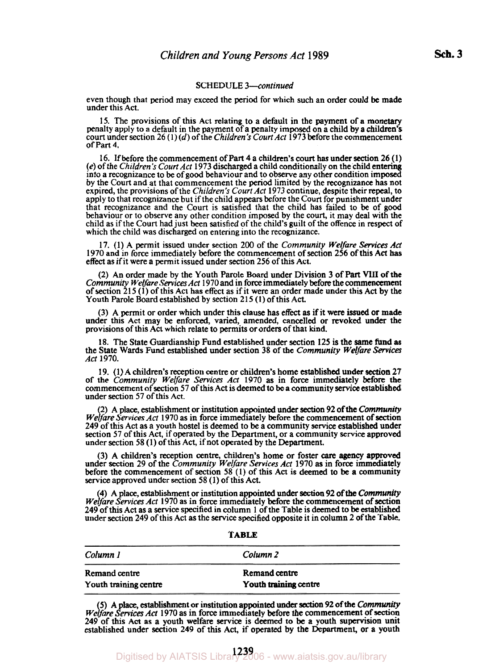### **SCHEDULE** *3-continued*

even though that period may exceed the period for which such an order could be made under this Act.

**15.** The provisions of this Act relating to a default in the payment of a monetary penalty apply to a default in the payment of a penalty imposed on a child by a children's court under section **26 (1)** (d) of the *Children's Court Act* **1973** before the Commencement of Part **4.** 

16. If before the commencement of Part 4 a children's court has under section 26 (1) (e) of the *Children's Court Act* 1973 discharged a child conditionally on the child entering into a recognizance to be of good behaviou by the Court and at that commencement the period limited by the recognizance has not expired, the provisions of the *Children's Court Act* **1973** continue, despite their repeal, to apply to that recognizance but if the child appears before the Court for punishment under that recognizance and the Court is satisfied that the child has failed to be *of* good behaviour or to observe any other condition imposed by the court, it may deal with the child as if the Court had just been satisfied of the child's guilt of the offence in respect of which the child was discharged on entering into the recognizance.

**17. (1)** A permit issued under section **200** of the *Community Welfare Services Ad*  **1970** and in force immediately before the commencement of section **256** of this Act **has**  effect as if it were a permit issued under section **256** of this Act.

**(2)** An order made by the Youth Parole Board under Division *3* of **Part VIII** of the *Community Welfare Services Act* **1970** and in **force** immediately before the commencement of section **21 5 (1)** of this Act has effect **as** if it were an order made under **this** Act by the Youth Parole Board established by section **2 15 (1)** of this Act.

*(3)* A permit or order which under this clause has effect **as** if it were issued or made under this Act may be enforced, varied, amended, cancelled or revoked under the provisions of this Act which relate to permits or orders of that kind.

**18.** The State Guardianship Fund established under section **125** is the same fund **as**  the State Wards Fund established under section *38* of the *Community Welfare Services Act* **1970.** 

**19. (1)** A children's reception centre **or** children's home established under section **27**  of the *Community Welfare Services Act* **1970 as** in force immediately before **the**  commencement of section **57** of this Act is deemed to be a community **service** established under section **57** of this Act.

**(2)** A place, establishment or institution appointed under section **92** of the *Community We fare Services Act* **1970** as in force immediately before the commencement of section **249** of this Act as a youth hostel is deemed to be a community service established under section **57** of this Act, if operated by the Department, or a community **service** approved under section **58 (1)** of this Act, if not operated by the Department.

*(3)* A children's reception centre, children's home or foster *care* agency approved under section **29** of the *Community Welfare Services Act* **1970 as** in force immediately before the commencement of section **58 (1)** of **this** Act is deemed to **be** a community service approved under section **58 (1)** of this Act.

**(4)** A place, establishment or institution appointed under section **92** of the *Community We fare Services Act* **1970** as in force immediately before the commencement of **section 249** of this Act as a service specified in column **1** of the Table is deemed to be established under section **249** of this Act as the service specified opposite it in column **2** of the Table.

**TABLE** 

| Column 1              | Column 2              |
|-----------------------|-----------------------|
| Remand centre         | Remand centre         |
| Youth training centre | Youth training centre |

(5) A place, establishment or institution appointed under section 92 of the *Community Welfare Services Act* 1970 as in force immediately before the commencement of section **249** of this Act **as** a youth welfare **service** is deemed to be a youth supervision unit established under section **249** of **this** Act, if operated by the Department, or a youth